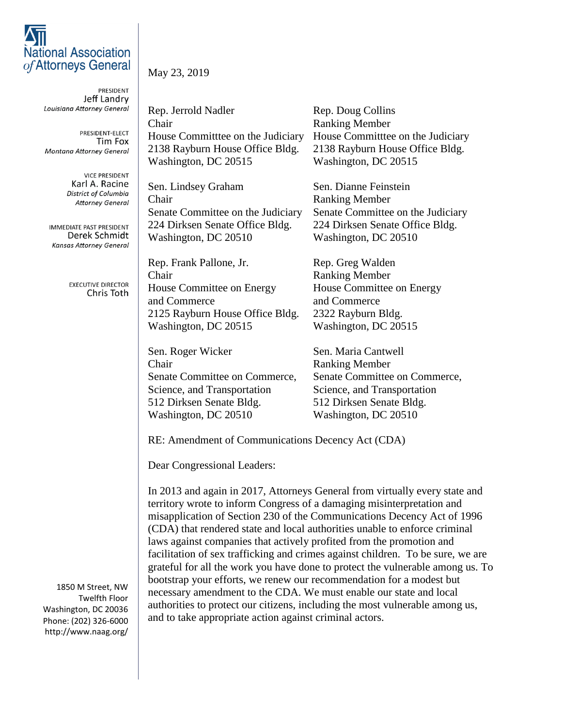## **National Association** of Attorneys General

PRESIDENT Jeff Landry Louisiana Attorney General

PRESIDENT-ELECT Tim Fox **Montana Attorney General** 

> **VICE PRESIDENT** Karl A. Racine District of Columbia **Attorney General**

IMMEDIATE PAST PRESIDENT Derek Schmidt **Kansas Attorney General** 

> **EXECUTIVE DIRECTOR** Chris Toth

1850 M Street, NW Twelfth Floor Washington, DC 20036 Phone: (202) 326-6000 http://www.naag.org/ May 23, 2019

Rep. Jerrold Nadler Rep. Doug Collins **Chair** Ranking Member House Committtee on the Judiciary House Committtee on the Judiciary 2138 Rayburn House Office Bldg. 2138 Rayburn House Office Bldg. Washington, DC 20515 Washington, DC 20515

Sen. Lindsey Graham Sen. Dianne Feinstein Chair Ranking Member 224 Dirksen Senate Office Bldg. 224 Dirksen Senate Office Bldg. Washington, DC 20510 Washington, DC 20510

Rep. Frank Pallone, Jr. Rep. Greg Walden **Chair** Ranking Member House Committee on Energy House Committee on Energy and Commerce and Commerce 2125 Rayburn House Office Bldg. 2322 Rayburn Bldg. Washington, DC 20515 Washington, DC 20515

Sen. Roger Wicker Sen. Maria Cantwell **Chair** Ranking Member Senate Committee on Commerce, Senate Committee on Commerce, Science, and Transportation Science, and Transportation 512 Dirksen Senate Bldg. 512 Dirksen Senate Bldg. Washington, DC 20510 Washington, DC 20510

Senate Committee on the Judiciary Senate Committee on the Judiciary

RE: Amendment of Communications Decency Act (CDA)

Dear Congressional Leaders:

In 2013 and again in 2017, Attorneys General from virtually every state and territory wrote to inform Congress of a damaging misinterpretation and misapplication of Section 230 of the Communications Decency Act of 1996 (CDA) that rendered state and local authorities unable to enforce criminal laws against companies that actively profited from the promotion and facilitation of sex trafficking and crimes against children. To be sure, we are grateful for all the work you have done to protect the vulnerable among us. To bootstrap your efforts, we renew our recommendation for a modest but necessary amendment to the CDA. We must enable our state and local authorities to protect our citizens, including the most vulnerable among us, and to take appropriate action against criminal actors.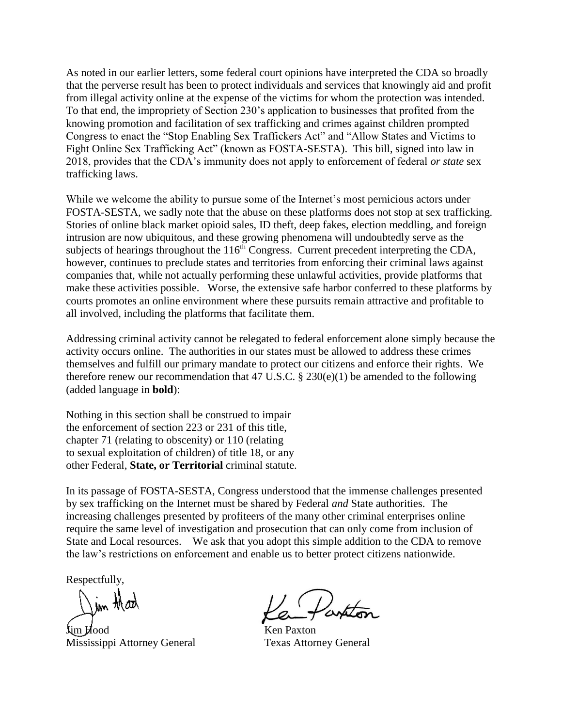As noted in our earlier letters, some federal court opinions have interpreted the CDA so broadly that the perverse result has been to protect individuals and services that knowingly aid and profit from illegal activity online at the expense of the victims for whom the protection was intended. To that end, the impropriety of Section 230's application to businesses that profited from the knowing promotion and facilitation of sex trafficking and crimes against children prompted Congress to enact the "Stop Enabling Sex Traffickers Act" and "Allow States and Victims to Fight Online Sex Trafficking Act" (known as FOSTA-SESTA). This bill, signed into law in 2018, provides that the CDA's immunity does not apply to enforcement of federal *or state* sex trafficking laws.

While we welcome the ability to pursue some of the Internet's most pernicious actors under FOSTA-SESTA, we sadly note that the abuse on these platforms does not stop at sex trafficking. Stories of online black market opioid sales, ID theft, deep fakes, election meddling, and foreign intrusion are now ubiquitous, and these growing phenomena will undoubtedly serve as the subjects of hearings throughout the  $116<sup>th</sup>$  Congress. Current precedent interpreting the CDA, however, continues to preclude states and territories from enforcing their criminal laws against companies that, while not actually performing these unlawful activities, provide platforms that make these activities possible. Worse, the extensive safe harbor conferred to these platforms by courts promotes an online environment where these pursuits remain attractive and profitable to all involved, including the platforms that facilitate them.

Addressing criminal activity cannot be relegated to federal enforcement alone simply because the activity occurs online. The authorities in our states must be allowed to address these crimes themselves and fulfill our primary mandate to protect our citizens and enforce their rights. We therefore renew our recommendation that 47 U.S.C.  $\S 230(e)(1)$  be amended to the following (added language in **bold**):

Nothing in this section shall be construed to impair the enforcement of section 223 or 231 of this title, chapter 71 (relating to obscenity) or 110 (relating to sexual exploitation of children) of title 18, or any other Federal, **State, or Territorial** criminal statute.

In its passage of FOSTA-SESTA, Congress understood that the immense challenges presented by sex trafficking on the Internet must be shared by Federal *and* State authorities. The increasing challenges presented by profiteers of the many other criminal enterprises online require the same level of investigation and prosecution that can only come from inclusion of State and Local resources. We ask that you adopt this simple addition to the CDA to remove the law's restrictions on enforcement and enable us to better protect citizens nationwide.

Respectfully,

Im that

Mississippi Attorney General Texas Attorney General

Partitos

Ken Paxton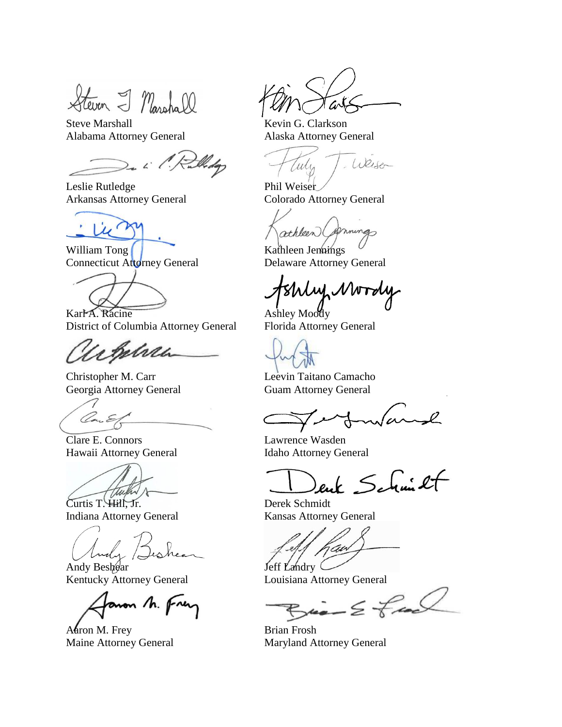Heven I Marshall

Steve Marshall Kevin G. Clarkson Alabama Attorney General Alaska Attorney General

2. i. 1. Rullidge

Leslie Rutledge Phil Weiser

Lu'

William Tong Kathleen Jennings Connecticut Attorney General Delaware Attorney General



Karl A. Racine Ashley Moody District of Columbia Attorney General Florida Attorney General

Acheli

Christopher M. Carr Leevin Taitano Camacho Georgia Attorney General Guam Attorney General

Con E

Clare E. Connors Lawrence Wasden Hawaii Attorney General Idaho Attorney General

Curtis T. Hill, Jr. Derek Schmidt

Indiana Attorney General Kansas Attorney General

Andy Dishear Jeff 1

Kentucky Attorney General Louisiana Attorney General

aron M. Frey

Aaron M. Frey Brian Frosh

Tark

Weisen Culy

Arkansas Attorney General Colorado Attorney General

athleen (primings)

Shly Mordy

enk Schmit

 $Bia-2$  final

Maine Attorney General Maryland Attorney General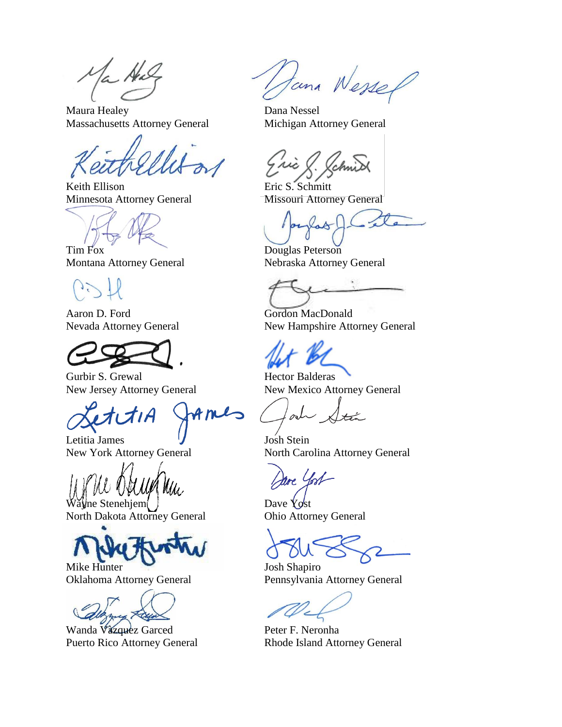Maura Healey Dana Nessel Massachusetts Attorney General Michigan Attorney General

Keith Ellison Eric S. Schmitt Minnesota Attorney General Missouri Attorney General

Aaron D. Ford Gordon MacDonald



Gurbir S. Grewal **Hector Balderas** 

mes

Letitia James **J** Josh Stein

Wayne Stenehjem J<br>North Dakota Attorney General Dhio Attorney General North Dakota Attorney General

Mike Hunter Josh Shapiro

Wanda Văzquez Garced Peter F. Neronha

tana Wessel

Tim Fox Douglas Peterson Montana Attorney General Nebraska Attorney General

Nevada Attorney General New Hampshire Attorney General

New Jersey Attorney General New Mexico Attorney General

يەنچىز

New York Attorney General North Carolina Attorney General

me York

Oklahoma Attorney General Pennsylvania Attorney General

Puerto Rico Attorney General Rhode Island Attorney General